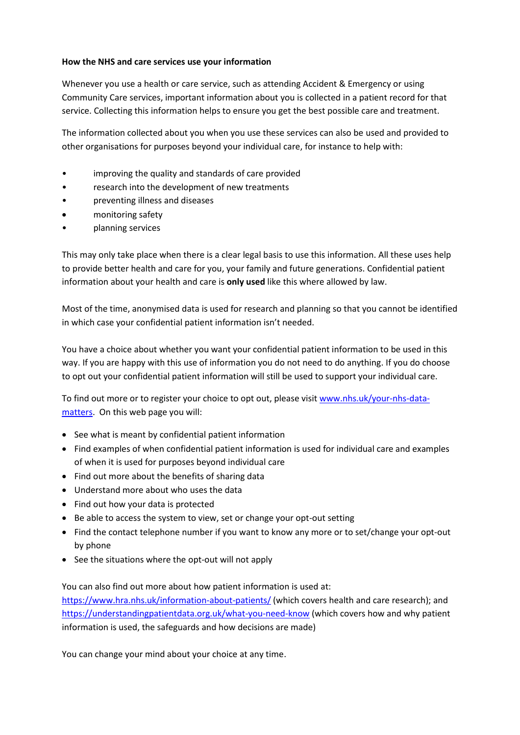## **How the NHS and care services use your information**

Whenever you use a health or care service, such as attending Accident & Emergency or using Community Care services, important information about you is collected in a patient record for that service. Collecting this information helps to ensure you get the best possible care and treatment.

The information collected about you when you use these services can also be used and provided to other organisations for purposes beyond your individual care, for instance to help with:

- improving the quality and standards of care provided
- research into the development of new treatments
- preventing illness and diseases
- monitoring safety
- planning services

This may only take place when there is a clear legal basis to use this information. All these uses help to provide better health and care for you, your family and future generations. Confidential patient information about your health and care is **only used** like this where allowed by law.

Most of the time, anonymised data is used for research and planning so that you cannot be identified in which case your confidential patient information isn't needed.

You have a choice about whether you want your confidential patient information to be used in this way. If you are happy with this use of information you do not need to do anything. If you do choose to opt out your confidential patient information will still be used to support your individual care.

To find out more or to register your choice to opt out, please visit [www.nhs.uk/your-nhs-data](http://www.nhs.uk/your-nhs-data-matters)[matters.](http://www.nhs.uk/your-nhs-data-matters) On this web page you will:

- See what is meant by confidential patient information
- Find examples of when confidential patient information is used for individual care and examples of when it is used for purposes beyond individual care
- Find out more about the benefits of sharing data
- Understand more about who uses the data
- Find out how your data is protected
- Be able to access the system to view, set or change your opt-out setting
- Find the contact telephone number if you want to know any more or to set/change your opt-out by phone
- See the situations where the opt-out will not apply

You can also find out more about how patient information is used at:

<https://www.hra.nhs.uk/information-about-patients/> (which covers health and care research); and <https://understandingpatientdata.org.uk/what-you-need-know> (which covers how and why patient information is used, the safeguards and how decisions are made)

You can change your mind about your choice at any time.